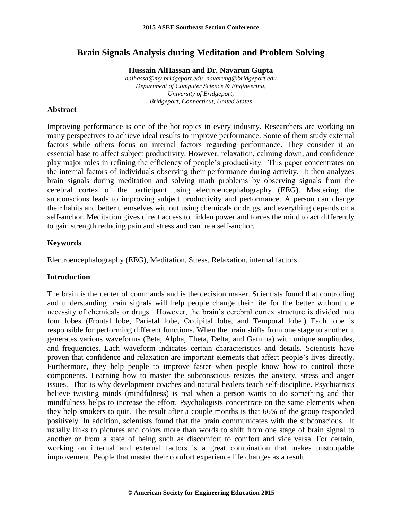# **Brain Signals Analysis during Meditation and Problem Solving**

**Hussain AlHassan and Dr. Navarun Gupta**

*[halhassa@my.bridgeport.edu,](mailto:halhassa@my.bridgeport.edu) navarung@bridgeport.edu Department of Computer Science & Engineering, University of Bridgeport, Bridgeport, Connecticut, United States*

### **Abstract**

Improving performance is one of the hot topics in every industry. Researchers are working on many perspectives to achieve ideal results to improve performance. Some of them study external factors while others focus on internal factors regarding performance. They consider it an essential base to affect subject productivity. However, relaxation, calming down, and confidence play major roles in refining the efficiency of people's productivity. This paper concentrates on the internal factors of individuals observing their performance during activity. It then analyzes brain signals during meditation and solving math problems by observing signals from the cerebral cortex of the participant using electroencephalography (EEG). Mastering the subconscious leads to improving subject productivity and performance. A person can change their habits and better themselves without using chemicals or drugs, and everything depends on a self-anchor. Meditation gives direct access to hidden power and forces the mind to act differently to gain strength reducing pain and stress and can be a self-anchor.

# **Keywords**

Electroencephalography (EEG), Meditation, Stress, Relaxation, internal factors

#### **Introduction**

The brain is the center of commands and is the decision maker. Scientists found that controlling and understanding brain signals will help people change their life for the better without the necessity of chemicals or drugs. However, the brain's cerebral cortex structure is divided into four lobes (Frontal lobe, Parietal lobe, Occipital lobe, and Temporal lobe.) Each lobe is responsible for performing different functions. When the brain shifts from one stage to another it generates various waveforms (Beta, Alpha, Theta, Delta, and Gamma) with unique amplitudes, and frequencies. Each waveform indicates certain characteristics and details. Scientists have proven that confidence and relaxation are important elements that affect people's lives directly. Furthermore, they help people to improve faster when people know how to control those components. Learning how to master the subconscious resizes the anxiety, stress and anger issues. That is why development coaches and natural healers teach self-discipline. Psychiatrists believe twisting minds (mindfulness) is real when a person wants to do something and that mindfulness helps to increase the effort. Psychologists concentrate on the same elements when they help smokers to quit. The result after a couple months is that 66% of the group responded positively. In addition, scientists found that the brain communicates with the subconscious. It usually links to pictures and colors more than words to shift from one stage of brain signal to another or from a state of being such as discomfort to comfort and vice versa. For certain, working on internal and external factors is a great combination that makes unstoppable improvement. People that master their comfort experience life changes as a result.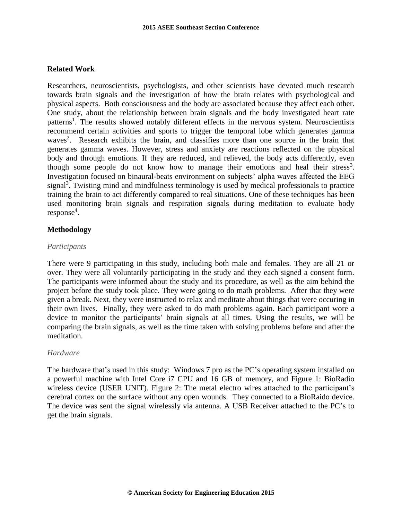# **Related Work**

Researchers, neuroscientists, psychologists, and other scientists have devoted much research towards brain signals and the investigation of how the brain relates with psychological and physical aspects. Both consciousness and the body are associated because they affect each other. One study, about the relationship between brain signals and the body investigated heart rate patterns<sup>1</sup>. The results showed notably different effects in the nervous system. Neuroscientists recommend certain activities and sports to trigger the temporal lobe which generates gamma waves<sup>2</sup>. Research exhibits the brain, and classifies more than one source in the brain that generates gamma waves. However, stress and anxiety are reactions reflected on the physical body and through emotions. If they are reduced, and relieved, the body acts differently, even though some people do not know how to manage their emotions and heal their stress<sup>3</sup>. Investigation focused on binaural-beats environment on subjects' alpha waves affected the EEG signal<sup>3</sup>. Twisting mind and mindfulness terminology is used by medical professionals to practice training the brain to act differently compared to real situations. One of these techniques has been used monitoring brain signals and respiration signals during meditation to evaluate body response<sup>4</sup>.

### **Methodology**

#### *Participants*

There were 9 participating in this study, including both male and females. They are all 21 or over. They were all voluntarily participating in the study and they each signed a consent form. The participants were informed about the study and its procedure, as well as the aim behind the project before the study took place. They were going to do math problems. After that they were given a break. Next, they were instructed to relax and meditate about things that were occuring in their own lives. Finally, they were asked to do math problems again. Each participant wore a device to monitor the participants' brain signals at all times. Using the results, we will be comparing the brain signals, as well as the time taken with solving problems before and after the meditation.

#### *Hardware*

The hardware that's used in this study: Windows 7 pro as the PC's operating system installed on a powerful machine with Intel Core i7 CPU and 16 GB of memory, and Figure 1: BioRadio wireless device (USER UNIT). Figure 2: The metal electro wires attached to the participant's cerebral cortex on the surface without any open wounds. They connected to a BioRaido device. The device was sent the signal wirelessly via antenna. A USB Receiver attached to the PC's to get the brain signals.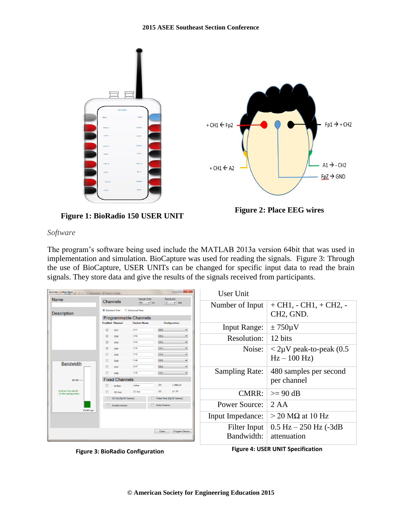

**Figure 1: BioRadio 150 USER UNIT**

**Figure 2: Place EEG wires**

### *Software*

The program's software being used include the MATLAB 2013a version 64bit that was used in implementation and simulation. BioCapture was used for reading the signals. Figure 3: Through the use of BioCapture, USER UNITs can be changed for specific input data to read the brain signals. They store data and give the results of the signals received from participants.

| <b>BioRadio Configuration</b><br>J. J. T. December of Dental Corb.<br>Name |                                                                                          | <b>Sample Rate</b>                 | $\blacksquare$<br>Resolution   | User Unit             |                                             |
|----------------------------------------------------------------------------|------------------------------------------------------------------------------------------|------------------------------------|--------------------------------|-----------------------|---------------------------------------------|
| <b>Description</b>                                                         | Channels<br>$12$ $\bullet$ bits<br>480<br>$-$ Hz<br>Advanced View<br>Standard View       |                                    |                                | Number of Input       | $+ CH1, - CH1, + CH2, -$                    |
|                                                                            | Programmable Channels                                                                    |                                    |                                |                       | CH <sub>2</sub> , G <sub>ND</sub> .         |
|                                                                            | <b>Enabled Channel</b>                                                                   | <b>Custom Name</b>                 | <b>Configuration</b>           |                       |                                             |
|                                                                            | $\blacktriangledown$<br>CH <sub>1</sub>                                                  | CH <sub>1</sub>                    | EEG                            | <b>Input Range:</b>   | $\pm 750 \mu V$                             |
|                                                                            | $\overline{\checkmark}$<br>CH <sub>2</sub><br>$\overline{\mathsf{v}}$<br>CH <sub>3</sub> | CH <sub>2</sub><br>CH <sub>3</sub> | EEG<br>EEG                     | Resolution:           | 12 bits                                     |
|                                                                            | $\overline{\mathsf{v}}$<br>CH <sub>4</sub>                                               | CH4                                | EEG                            | Noise:                | $\langle 2\mu V \rangle$ peak-to-peak (0.5) |
|                                                                            | CH <sub>5</sub>                                                                          | CHS                                | EEG<br>EEG                     |                       | $Hz - 100 Hz$                               |
| <b>Bandwidth</b><br>92160                                                  | CH <sub>6</sub>                                                                          | CH <sub>6</sub>                    |                                |                       |                                             |
|                                                                            | CH <sub>7</sub><br>Е<br>CH <sub>8</sub>                                                  | CH <sub>7</sub><br><b>CHS</b>      | <b>EEG</b><br>EEG              | <b>Sampling Rate:</b> | 480 samples per second                      |
|                                                                            | <b>Fixed Channels</b>                                                                    |                                    |                                |                       | per channel                                 |
|                                                                            | Airflow                                                                                  | Airflow                            | DC<br>± 280mV                  |                       |                                             |
| Sufficient bandwidth<br>for this configuration<br>23040 bps                | DC Aux                                                                                   | DC Aux                             | <b>DC</b><br>±1.7V             | CMRR:                 | $>= 90 dB$                                  |
|                                                                            | O2 Sat (SpO2 Sensor)                                                                     |                                    | Pulse Rate (SpO2 Sensor)       |                       |                                             |
|                                                                            | Accelerometers                                                                           |                                    | <b>Body Position</b>           | Power Source:         | 2 A A                                       |
|                                                                            |                                                                                          |                                    |                                | Input Impedance:      | $>$ 20 M $\Omega$ at 10 Hz                  |
|                                                                            |                                                                                          |                                    | <b>Program Device</b><br>Close | Filter Input          | $0.5$ Hz $- 250$ Hz $(-3dB)$                |
|                                                                            |                                                                                          |                                    |                                | Bandwidth:            | attenuation                                 |



**Figure 4: USER UNIT Specification**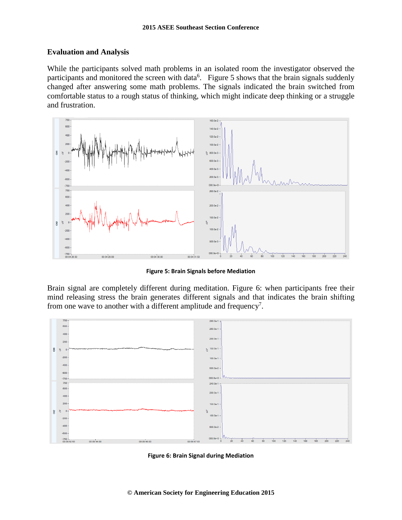# **Evaluation and Analysis**

While the participants solved math problems in an isolated room the investigator observed the participants and monitored the screen with data<sup>6</sup>. Figure 5 shows that the brain signals suddenly changed after answering some math problems. The signals indicated the brain switched from comfortable status to a rough status of thinking, which might indicate deep thinking or a struggle and frustration.



**Figure 5: Brain Signals before Mediation**

Brain signal are completely different during meditation. Figure 6: when participants free their mind releasing stress the brain generates different signals and that indicates the brain shifting from one wave to another with a different amplitude and frequency<sup>7</sup>.



**Figure 6: Brain Signal during Mediation**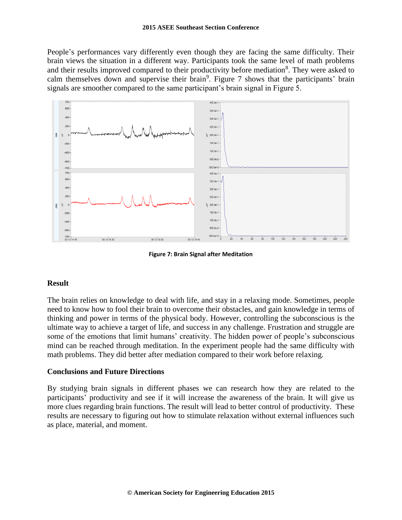People's performances vary differently even though they are facing the same difficulty. Their brain views the situation in a different way. Participants took the same level of math problems and their results improved compared to their productivity before mediation<sup>8</sup>. They were asked to calm themselves down and supervise their brain<sup>9</sup>. Figure 7 shows that the participants' brain signals are smoother compared to the same participant's brain signal in Figure 5.



**Figure 7: Brain Signal after Meditation**

# **Result**

The brain relies on knowledge to deal with life, and stay in a relaxing mode. Sometimes, people need to know how to fool their brain to overcome their obstacles, and gain knowledge in terms of thinking and power in terms of the physical body. However, controlling the subconscious is the ultimate way to achieve a target of life, and success in any challenge. Frustration and struggle are some of the emotions that limit humans' creativity. The hidden power of people's subconscious mind can be reached through meditation. In the experiment people had the same difficulty with math problems. They did better after mediation compared to their work before relaxing.

# **Conclusions and Future Directions**

By studying brain signals in different phases we can research how they are related to the participants' productivity and see if it will increase the awareness of the brain. It will give us more clues regarding brain functions. The result will lead to better control of productivity. These results are necessary to figuring out how to stimulate relaxation without external influences such as place, material, and moment.